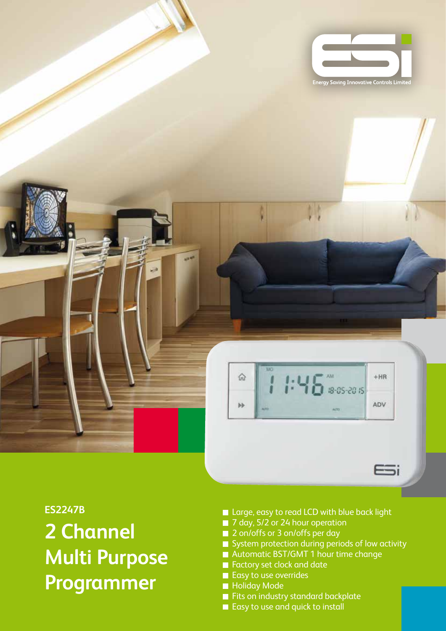



## **ES2247B**

**2 Channel Multi Purpose Programmer**

- Large, easy to read LCD with blue back light
- 7 day, 5/2 or 24 hour operation
- 2 on/offs or 3 on/offs per day
- System protection during periods of low activity
- Automatic BST/GMT 1 hour time change
- Factory set clock and date
- Easy to use overrides
- **Holiday Mode**
- Fits on industry standard backplate
- Easy to use and quick to install